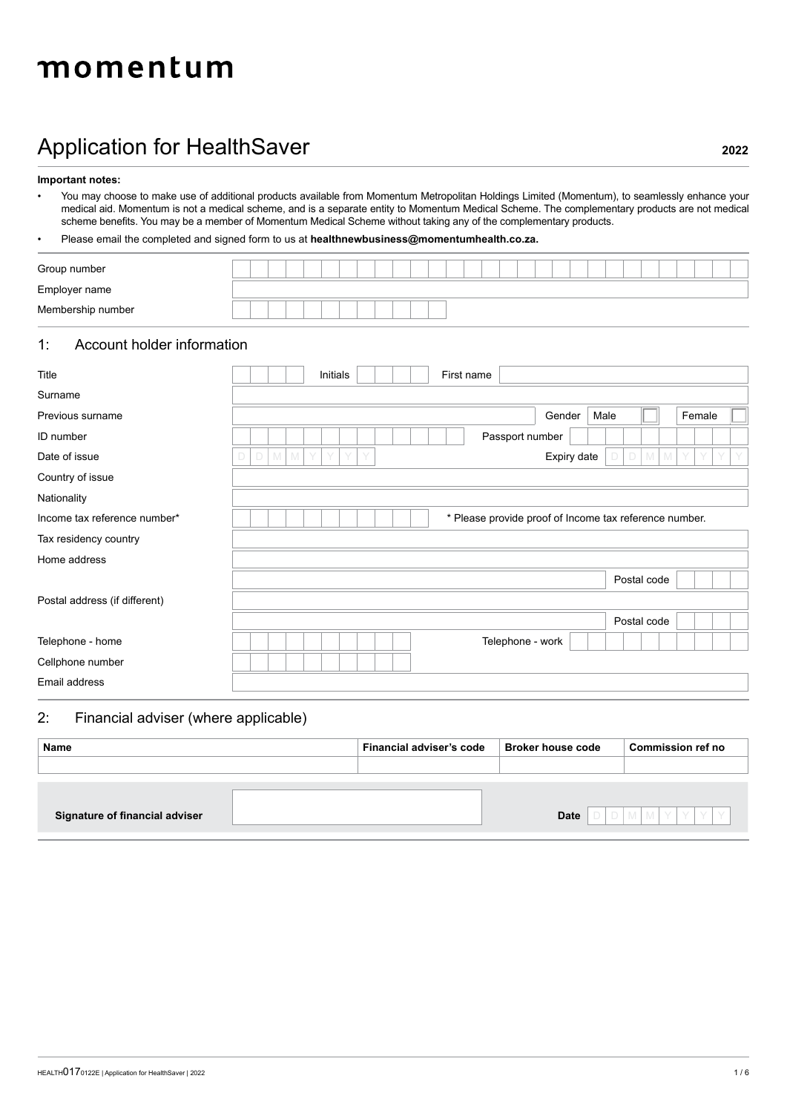# momentum

## Application for HealthSaver **2022**

**Important notes:**

• You may choose to make use of additional products available from Momentum Metropolitan Holdings Limited (Momentum), to seamlessly enhance your medical aid. Momentum is not a medical scheme, and is a separate entity to Momentum Medical Scheme. The complementary products are not medical scheme benefits. You may be a member of Momentum Medical Scheme without taking any of the complementary products.

### • Please email the completed and signed form to us at **healthnewbusiness@momentumhealth.co.za.**

| Group number      |  |  |  |  |  |  |  |  |  |  |  |  |  |  |
|-------------------|--|--|--|--|--|--|--|--|--|--|--|--|--|--|
| Employer name     |  |  |  |  |  |  |  |  |  |  |  |  |  |  |
| Membership number |  |  |  |  |  |  |  |  |  |  |  |  |  |  |

### 1: Account holder information

| Title                         |             |         |   | Initials |        |  |  | First name |                                                        |             |      |             |         |        |  |
|-------------------------------|-------------|---------|---|----------|--------|--|--|------------|--------------------------------------------------------|-------------|------|-------------|---------|--------|--|
| Surname                       |             |         |   |          |        |  |  |            |                                                        |             |      |             |         |        |  |
| Previous surname              |             |         |   |          |        |  |  |            |                                                        | Gender      | Male |             |         | Female |  |
| ID number                     |             |         |   |          |        |  |  |            | Passport number                                        |             |      |             |         |        |  |
| Date of issue                 | $\Box$<br>D | $M$ $M$ | Y | Y        | Y<br>Y |  |  |            |                                                        | Expiry date |      |             | $D$ M M |        |  |
| Country of issue              |             |         |   |          |        |  |  |            |                                                        |             |      |             |         |        |  |
| Nationality                   |             |         |   |          |        |  |  |            |                                                        |             |      |             |         |        |  |
| Income tax reference number*  |             |         |   |          |        |  |  |            | * Please provide proof of Income tax reference number. |             |      |             |         |        |  |
| Tax residency country         |             |         |   |          |        |  |  |            |                                                        |             |      |             |         |        |  |
| Home address                  |             |         |   |          |        |  |  |            |                                                        |             |      |             |         |        |  |
|                               |             |         |   |          |        |  |  |            |                                                        |             |      | Postal code |         |        |  |
| Postal address (if different) |             |         |   |          |        |  |  |            |                                                        |             |      |             |         |        |  |
|                               |             |         |   |          |        |  |  |            |                                                        |             |      | Postal code |         |        |  |
| Telephone - home              |             |         |   |          |        |  |  |            | Telephone - work                                       |             |      |             |         |        |  |
| Cellphone number              |             |         |   |          |        |  |  |            |                                                        |             |      |             |         |        |  |
| Email address                 |             |         |   |          |        |  |  |            |                                                        |             |      |             |         |        |  |

### 2: Financial adviser (where applicable)

| Name                           | Financial adviser's code | <b>Broker house code</b> | <b>Commission ref no</b> |
|--------------------------------|--------------------------|--------------------------|--------------------------|
|                                |                          |                          |                          |
|                                |                          |                          |                          |
|                                |                          |                          |                          |
| Signature of financial adviser |                          | <b>Date</b>              | IDMMYYYY                 |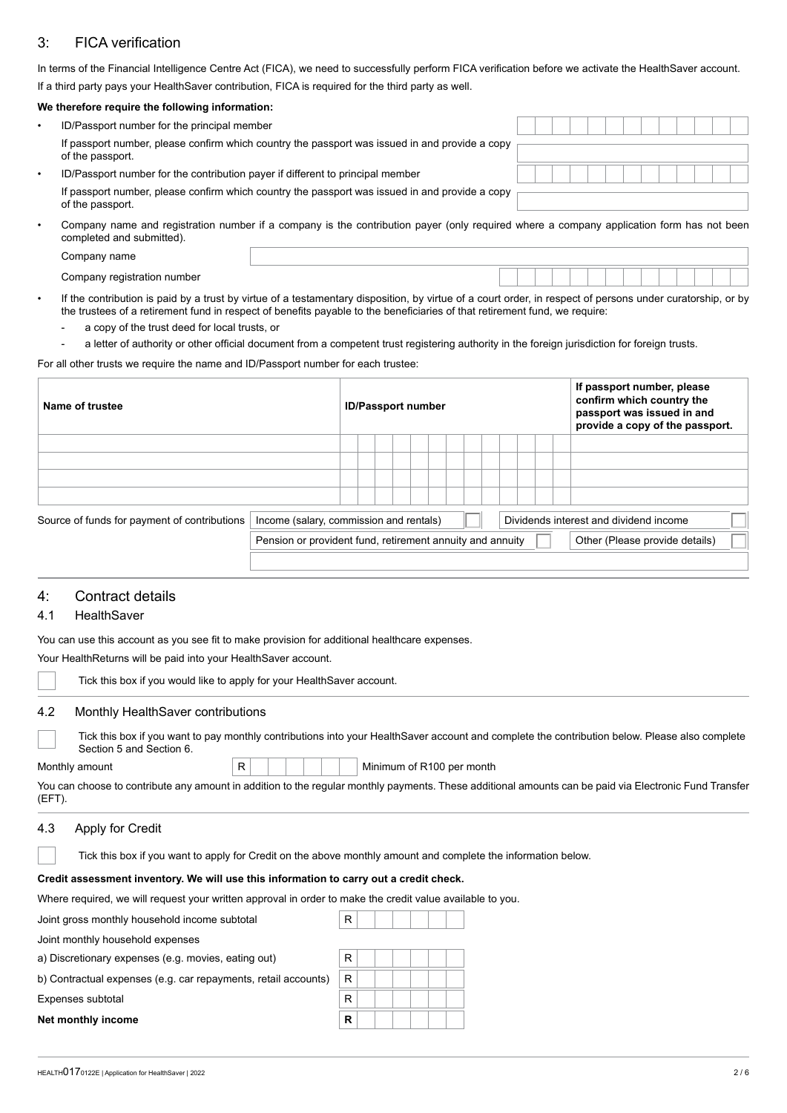### 3: FICA verification

In terms of the Financial Intelligence Centre Act (FICA), we need to successfully perform FICA verification before we activate the HealthSaver account. If a third party pays your HealthSaver contribution, FICA is required for the third party as well.

#### **We therefore require the following information:**

| ID/Passport number for the principal member                                                                        |  |  |  |  |  |  |  |
|--------------------------------------------------------------------------------------------------------------------|--|--|--|--|--|--|--|
| If passport number, please confirm which country the passport was issued in and provide a copy<br>of the passport. |  |  |  |  |  |  |  |
| ID/Passport number for the contribution payer if different to principal member                                     |  |  |  |  |  |  |  |
| If passport number, please confirm which country the passport was issued in and provide a copy<br>of the passport. |  |  |  |  |  |  |  |

• Company name and registration number if a company is the contribution payer (only required where a company application form has not been completed and submitted).

Company name

Company registration number

- If the contribution is paid by a trust by virtue of a testamentary disposition, by virtue of a court order, in respect of persons under curatorship, or by the trustees of a retirement fund in respect of benefits payable to the beneficiaries of that retirement fund, we require:
	- a copy of the trust deed for local trusts, or
	- a letter of authority or other official document from a competent trust registering authority in the foreign jurisdiction for foreign trusts.

For all other trusts we require the name and ID/Passport number for each trustee:

| Name of trustee                              |                                                           |  | <b>ID/Passport number</b> |  |  |  |  |  |  | If passport number, please<br>confirm which country the<br>passport was issued in and<br>provide a copy of the passport. |
|----------------------------------------------|-----------------------------------------------------------|--|---------------------------|--|--|--|--|--|--|--------------------------------------------------------------------------------------------------------------------------|
|                                              |                                                           |  |                           |  |  |  |  |  |  |                                                                                                                          |
|                                              |                                                           |  |                           |  |  |  |  |  |  |                                                                                                                          |
|                                              |                                                           |  |                           |  |  |  |  |  |  |                                                                                                                          |
|                                              |                                                           |  |                           |  |  |  |  |  |  |                                                                                                                          |
| Source of funds for payment of contributions | Income (salary, commission and rentals)                   |  |                           |  |  |  |  |  |  | Dividends interest and dividend income                                                                                   |
|                                              | Pension or provident fund, retirement annuity and annuity |  |                           |  |  |  |  |  |  | Other (Please provide details)                                                                                           |
|                                              |                                                           |  |                           |  |  |  |  |  |  |                                                                                                                          |

### 4: Contract details

### 4.1 HealthSaver

You can use this account as you see fit to make provision for additional healthcare expenses.

Your HealthReturns will be paid into your HealthSaver account.

|     | Tick this box if you would like to apply for your HealthSaver account.                                                                                                     |
|-----|----------------------------------------------------------------------------------------------------------------------------------------------------------------------------|
| 4.2 | Monthly HealthSaver contributions                                                                                                                                          |
|     | Tick this box if you want to pay monthly contributions into your HealthSaver account and complete the contribution below. Please also complete<br>Section 5 and Section 6. |

R | | | | | Minimum of R100 per month

| You can choose to contribute any amount in addition to the regular monthly payments. These additional amounts can be paid via Electronic Fund Transfer |  |  |
|--------------------------------------------------------------------------------------------------------------------------------------------------------|--|--|
| (EFT).                                                                                                                                                 |  |  |

#### 4.3 Apply for Credit

### **Credit assessment inventory. We will use this information to carry out a credit check.**

Where required, we will request your written approval in order to make the credit value available to you.

Joint gross monthly household income subtotal R

Joint monthly household expenses

a) Discretionary expenses (e.g. movies, eating out)

| b) Contractual expenses (e.g. car repayments, retail accounts) $\mid$ R |  |
|-------------------------------------------------------------------------|--|
|-------------------------------------------------------------------------|--|

Expenses subtotal

**Net monthly income**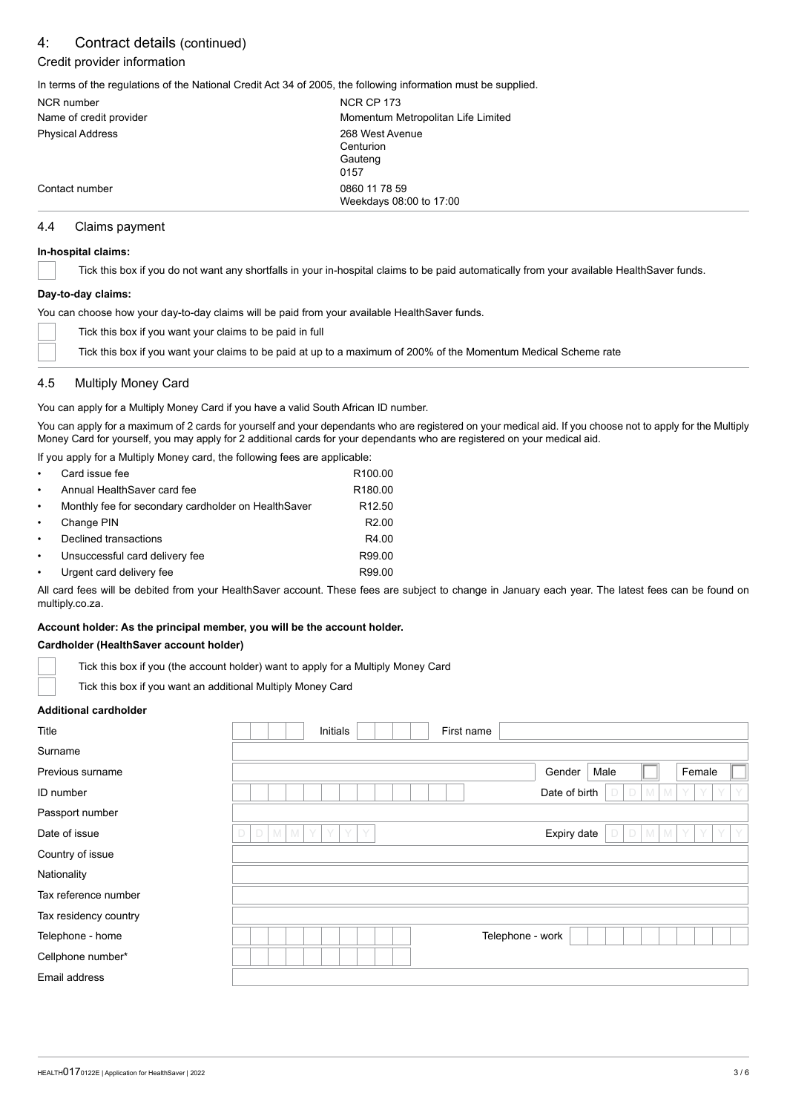### 4: Contract details (continued)

### Credit provider information

In terms of the regulations of the National Credit Act 34 of 2005, the following information must be supplied.

| <b>NCR</b> number       | <b>NCR CP 173</b>                  |
|-------------------------|------------------------------------|
| Name of credit provider | Momentum Metropolitan Life Limited |
| <b>Physical Address</b> | 268 West Avenue                    |
|                         | Centurion                          |
|                         | Gauteng                            |
|                         | 0157                               |
| Contact number          | 0860 11 78 59                      |
|                         | Weekdays 08:00 to 17:00            |

### 4.4 Claims payment

#### **In-hospital claims:**

Tick this box if you do not want any shortfalls in your in-hospital claims to be paid automatically from your available HealthSaver funds.

#### **Day-to-day claims:**

You can choose how your day-to-day claims will be paid from your available HealthSaver funds.

| Tick this box if you want your claims to be paid in full                                                        |
|-----------------------------------------------------------------------------------------------------------------|
| Tick this box if you want your claims to be paid at up to a maximum of 200% of the Momentum Medical Scheme rate |

### 4.5 Multiply Money Card

You can apply for a Multiply Money Card if you have a valid South African ID number.

You can apply for a maximum of 2 cards for yourself and your dependants who are registered on your medical aid. If you choose not to apply for the Multiply Money Card for yourself, you may apply for 2 additional cards for your dependants who are registered on your medical aid.

If you apply for a Multiply Money card, the following fees are applicable:

| $\bullet$ | Card issue fee                                      | R <sub>100.00</sub> |
|-----------|-----------------------------------------------------|---------------------|
| $\bullet$ | Annual HealthSaver card fee                         | R <sub>180.00</sub> |
| $\bullet$ | Monthly fee for secondary cardholder on HealthSaver | R <sub>12.50</sub>  |
| $\bullet$ | Change PIN                                          | R <sub>2.00</sub>   |
| $\bullet$ | Declined transactions                               | R4.00               |
| $\bullet$ | Unsuccessful card delivery fee                      | R99.00              |
| $\bullet$ | Urgent card delivery fee                            | R99.00              |

All card fees will be debited from your HealthSaver account. These fees are subject to change in January each year. The latest fees can be found on multiply.co.za.

### **Account holder: As the principal member, you will be the account holder.**

#### **Cardholder (HealthSaver account holder)**

Tick this box if you (the account holder) want to apply for a Multiply Money Card

Tick this box if you want an additional Multiply Money Card

#### **Additional cardholder**

| Title                 | Initials<br>First name                                                       |  |
|-----------------------|------------------------------------------------------------------------------|--|
| Surname               |                                                                              |  |
| Previous surname      | Female<br>Gender<br>Male                                                     |  |
| ID number             | Date of birth<br>D<br>M M<br>Y                                               |  |
| Passport number       |                                                                              |  |
| Date of issue         | $\mathbb N$<br>M<br>Expiry date<br>$\Box$<br>D<br>Y<br>Y<br>V<br>M<br>D<br>M |  |
| Country of issue      |                                                                              |  |
| Nationality           |                                                                              |  |
| Tax reference number  |                                                                              |  |
| Tax residency country |                                                                              |  |
| Telephone - home      | Telephone - work                                                             |  |
| Cellphone number*     |                                                                              |  |
| Email address         |                                                                              |  |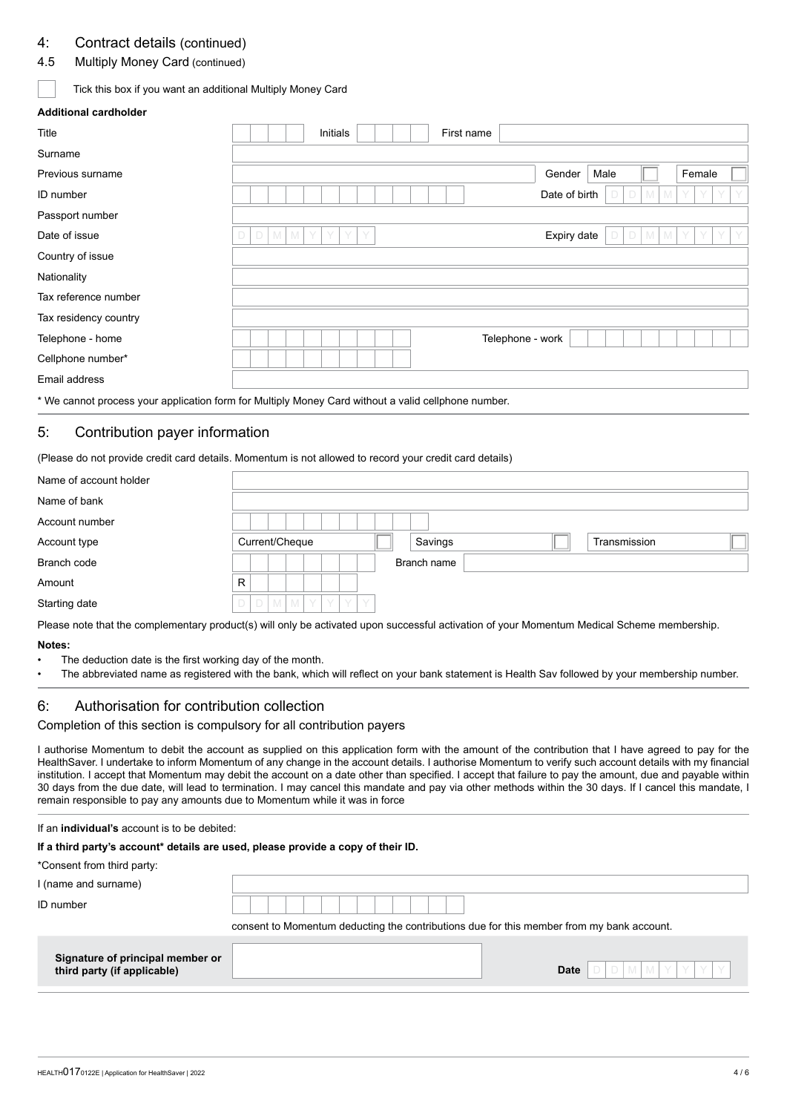### 4: Contract details (continued)

### 4.5 Multiply Money Card (continued)

### Tick this box if you want an additional Multiply Money Card

### **Additional cardholder**

| Title                 | Initials<br>First name                         |
|-----------------------|------------------------------------------------|
| Surname               |                                                |
| Previous surname      | Female<br>Male<br>Gender                       |
| ID number             | Date of birth<br>M<br>M                        |
| Passport number       |                                                |
| Date of issue         | Expiry date<br>D<br>M<br>M<br>Y<br>D<br>M<br>M |
| Country of issue      |                                                |
| Nationality           |                                                |
| Tax reference number  |                                                |
| Tax residency country |                                                |
| Telephone - home      | Telephone - work                               |
| Cellphone number*     |                                                |
| Email address         |                                                |

\* We cannot process your application form for Multiply Money Card without a valid cellphone number.

### 5: Contribution payer information

(Please do not provide credit card details. Momentum is not allowed to record your credit card details)

| Name of account holder |                                           |
|------------------------|-------------------------------------------|
| Name of bank           |                                           |
| Account number         |                                           |
| Account type           | Current/Cheque<br>Savings<br>Transmission |
| Branch code            | Branch name                               |
| Amount                 | R                                         |
| Starting date          | M<br>D<br>M<br>D<br>Y<br>V<br>Y           |

Please note that the complementary product(s) will only be activated upon successful activation of your Momentum Medical Scheme membership.

#### **Notes:**

- The deduction date is the first working day of the month.
- The abbreviated name as registered with the bank, which will reflect on your bank statement is Health Sav followed by your membership number.

### 6: Authorisation for contribution collection

Completion of this section is compulsory for all contribution payers

I authorise Momentum to debit the account as supplied on this application form with the amount of the contribution that I have agreed to pay for the HealthSaver. I undertake to inform Momentum of any change in the account details. I authorise Momentum to verify such account details with my financial institution. I accept that Momentum may debit the account on a date other than specified. I accept that failure to pay the amount, due and payable within 30 days from the due date, will lead to termination. I may cancel this mandate and pay via other methods within the 30 days. If I cancel this mandate, I remain responsible to pay any amounts due to Momentum while it was in force

#### If an **individual's** account is to be debited:

#### **If a third party's account\* details are used, please provide a copy of their ID.**

\*Consent from third party:

| I (name and surname)<br>ID number                               |                                                                                           |                                 |
|-----------------------------------------------------------------|-------------------------------------------------------------------------------------------|---------------------------------|
|                                                                 | consent to Momentum deducting the contributions due for this member from my bank account. |                                 |
| Signature of principal member or<br>third party (if applicable) |                                                                                           | $D$ $M$ $M$ $Y$ $Y$ $Y$<br>Date |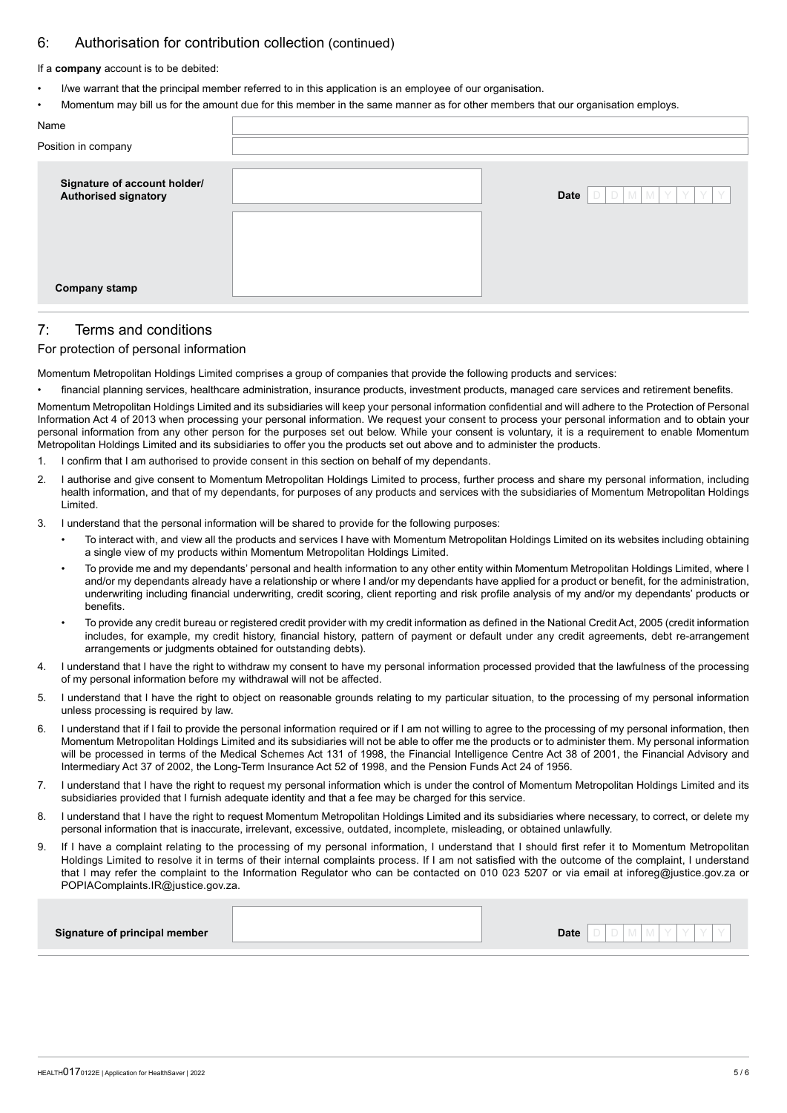### 6: Authorisation for contribution collection (continued)

#### If a **company** account is to be debited:

- I/we warrant that the principal member referred to in this application is an employee of our organisation.
- Momentum may bill us for the amount due for this member in the same manner as for other members that our organisation employs.

| Name                                                 |                                 |
|------------------------------------------------------|---------------------------------|
| Position in company                                  |                                 |
| Signature of account holder/<br>Authorised signatory | $D$ $M$ $M$ $Y$ $Y$ $Y$<br>Date |
|                                                      |                                 |
|                                                      |                                 |
| <b>Company stamp</b>                                 |                                 |

### 7: Terms and conditions

#### For protection of personal information

Momentum Metropolitan Holdings Limited comprises a group of companies that provide the following products and services:

financial planning services, healthcare administration, insurance products, investment products, managed care services and retirement benefits.

Momentum Metropolitan Holdings Limited and its subsidiaries will keep your personal information confidential and will adhere to the Protection of Personal Information Act 4 of 2013 when processing your personal information. We request your consent to process your personal information and to obtain your personal information from any other person for the purposes set out below. While your consent is voluntary, it is a requirement to enable Momentum Metropolitan Holdings Limited and its subsidiaries to offer you the products set out above and to administer the products.

- 1. I confirm that I am authorised to provide consent in this section on behalf of my dependants.
- 2. I authorise and give consent to Momentum Metropolitan Holdings Limited to process, further process and share my personal information, including health information, and that of my dependants, for purposes of any products and services with the subsidiaries of Momentum Metropolitan Holdings Limited.
- 3. I understand that the personal information will be shared to provide for the following purposes:
	- To interact with, and view all the products and services I have with Momentum Metropolitan Holdings Limited on its websites including obtaining a single view of my products within Momentum Metropolitan Holdings Limited.
	- To provide me and my dependants' personal and health information to any other entity within Momentum Metropolitan Holdings Limited, where I and/or my dependants already have a relationship or where I and/or my dependants have applied for a product or benefit, for the administration, underwriting including financial underwriting, credit scoring, client reporting and risk profile analysis of my and/or my dependants' products or benefits.
	- To provide any credit bureau or registered credit provider with my credit information as defined in the National Credit Act, 2005 (credit information includes, for example, my credit history, financial history, pattern of payment or default under any credit agreements, debt re-arrangement arrangements or judgments obtained for outstanding debts).
- 4. I understand that I have the right to withdraw my consent to have my personal information processed provided that the lawfulness of the processing of my personal information before my withdrawal will not be affected.
- 5. I understand that I have the right to object on reasonable grounds relating to my particular situation, to the processing of my personal information unless processing is required by law.
- 6. I understand that if I fail to provide the personal information required or if I am not willing to agree to the processing of my personal information, then Momentum Metropolitan Holdings Limited and its subsidiaries will not be able to offer me the products or to administer them. My personal information will be processed in terms of the Medical Schemes Act 131 of 1998, the Financial Intelligence Centre Act 38 of 2001, the Financial Advisory and Intermediary Act 37 of 2002, the Long-Term Insurance Act 52 of 1998, and the Pension Funds Act 24 of 1956.
- 7. I understand that I have the right to request my personal information which is under the control of Momentum Metropolitan Holdings Limited and its subsidiaries provided that I furnish adequate identity and that a fee may be charged for this service.
- 8. I understand that I have the right to request Momentum Metropolitan Holdings Limited and its subsidiaries where necessary, to correct, or delete my personal information that is inaccurate, irrelevant, excessive, outdated, incomplete, misleading, or obtained unlawfully.
- 9. If I have a complaint relating to the processing of my personal information, I understand that I should first refer it to Momentum Metropolitan Holdings Limited to resolve it in terms of their internal complaints process. If I am not satisfied with the outcome of the complaint, I understand that I may refer the complaint to the Information Regulator who can be contacted on 010 023 5207 or via email at inforeg@justice.gov.za or POPIAComplaints.IR@justice.gov.za.

| <b>Date</b><br>Signature of principal member |
|----------------------------------------------|
|----------------------------------------------|